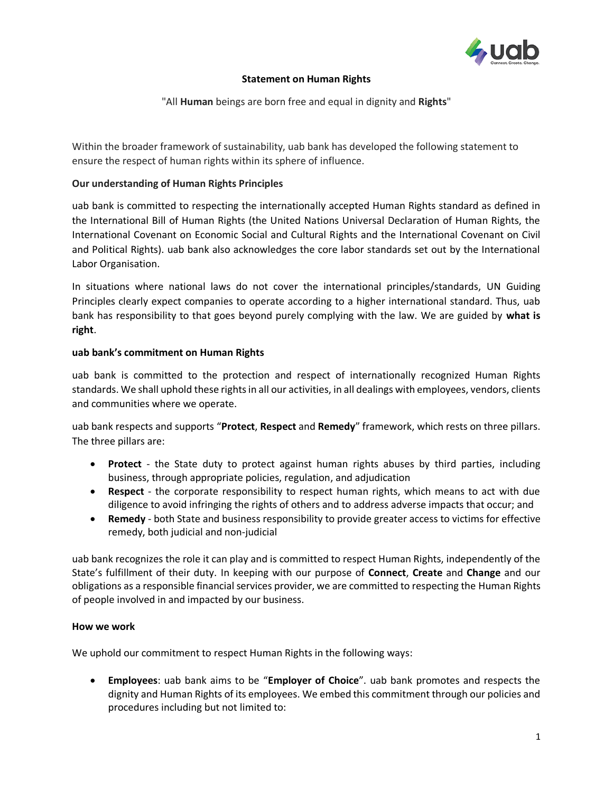

## **Statement on Human Rights**

"All **Human** beings are born free and equal in dignity and **Rights**"

Within the broader framework of sustainability, uab bank has developed the following statement to ensure the respect of human rights within its sphere of influence.

# **Our understanding of Human Rights Principles**

uab bank is committed to respecting the internationally accepted Human Rights standard as defined in the International Bill of Human Rights (the United Nations Universal Declaration of Human Rights, the International Covenant on Economic Social and Cultural Rights and the International Covenant on Civil and Political Rights). uab bank also acknowledges the core labor standards set out by the International Labor Organisation.

In situations where national laws do not cover the international principles/standards, UN Guiding Principles clearly expect companies to operate according to a higher international standard. Thus, uab bank has responsibility to that goes beyond purely complying with the law. We are guided by **what is right**.

# **uab bank's commitment on Human Rights**

uab bank is committed to the protection and respect of internationally recognized Human Rights standards. We shall uphold these rights in all our activities, in all dealings with employees, vendors, clients and communities where we operate.

uab bank respects and supports "**Protect**, **Respect** and **Remedy**" framework, which rests on three pillars. The three pillars are:

- **Protect** the State duty to protect against human rights abuses by third parties, including business, through appropriate policies, regulation, and adjudication
- **Respect** the corporate responsibility to respect human rights, which means to act with due diligence to avoid infringing the rights of others and to address adverse impacts that occur; and
- **Remedy** both State and business responsibility to provide greater access to victims for effective remedy, both judicial and non-judicial

uab bank recognizes the role it can play and is committed to respect Human Rights, independently of the State's fulfillment of their duty. In keeping with our purpose of **Connect**, **Create** and **Change** and our obligations as a responsible financial services provider, we are committed to respecting the Human Rights of people involved in and impacted by our business.

## **How we work**

We uphold our commitment to respect Human Rights in the following ways:

• **Employees**: uab bank aims to be "**Employer of Choice**". uab bank promotes and respects the dignity and Human Rights of its employees. We embed this commitment through our policies and procedures including but not limited to: